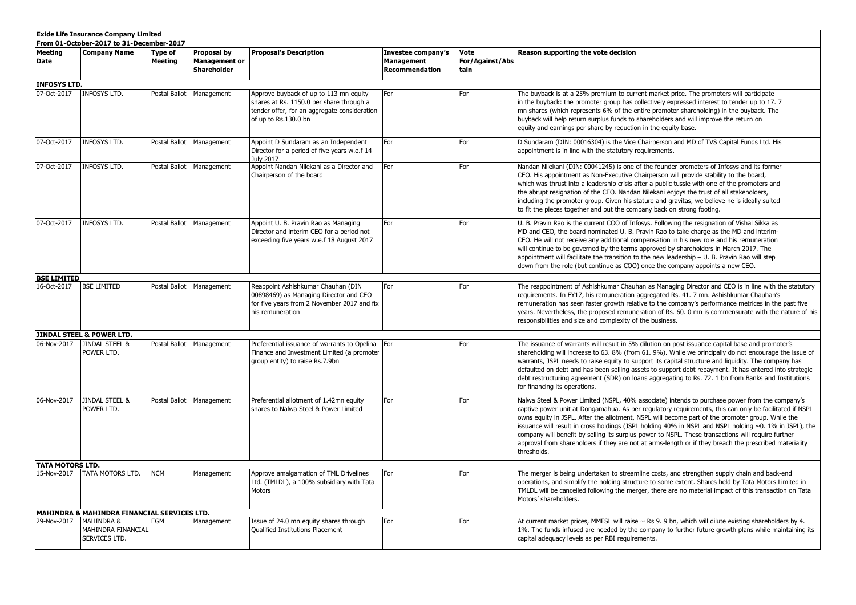| <b>Exide Life Insurance Company Limited</b> |                                                              |                    |                                                           |                                                                                                                                                            |                                                           |                                               |                                                                                                                                                                                                                                                                                                                                                                                                                                                                                                                                                                                                                                                       |  |  |
|---------------------------------------------|--------------------------------------------------------------|--------------------|-----------------------------------------------------------|------------------------------------------------------------------------------------------------------------------------------------------------------------|-----------------------------------------------------------|-----------------------------------------------|-------------------------------------------------------------------------------------------------------------------------------------------------------------------------------------------------------------------------------------------------------------------------------------------------------------------------------------------------------------------------------------------------------------------------------------------------------------------------------------------------------------------------------------------------------------------------------------------------------------------------------------------------------|--|--|
| From 01-October-2017 to 31-December-2017    |                                                              |                    |                                                           |                                                                                                                                                            |                                                           |                                               |                                                                                                                                                                                                                                                                                                                                                                                                                                                                                                                                                                                                                                                       |  |  |
| Meeting<br>Date                             | Company Name                                                 | Type of<br>Meeting | Proposal by<br><b>Management or</b><br><b>Shareholder</b> | <b>Proposal's Description</b>                                                                                                                              | Investee company's<br><b>Management</b><br>Recommendation | <b>Vote</b><br><b>For/Against/Abs</b><br>tain | Reason supporting the vote decision                                                                                                                                                                                                                                                                                                                                                                                                                                                                                                                                                                                                                   |  |  |
| <b>INFOSYS LTD.</b>                         |                                                              |                    |                                                           |                                                                                                                                                            |                                                           |                                               |                                                                                                                                                                                                                                                                                                                                                                                                                                                                                                                                                                                                                                                       |  |  |
| 07-Oct-2017                                 | <b>INFOSYS LTD.</b>                                          |                    | Postal Ballot Management                                  | Approve buyback of up to 113 mn equity<br>shares at Rs. 1150.0 per share through a<br>tender offer, for an aggregate consideration<br>of up to Rs.130.0 bn | For                                                       | For                                           | The buyback is at a 25% premium to current market price. The promoters will participate<br>in the buyback: the promoter group has collectively expressed interest to tender up to 17.7<br>mn shares (which represents 6% of the entire promoter shareholding) in the buyback. The<br>buyback will help return surplus funds to shareholders and will improve the return on<br>equity and earnings per share by reduction in the equity base.                                                                                                                                                                                                          |  |  |
| 07-Oct-2017                                 | <b>INFOSYS LTD.</b>                                          |                    | Postal Ballot Management                                  | Appoint D Sundaram as an Independent<br>Director for a period of five years w.e.f 14<br><b>July 2017</b>                                                   | For                                                       | For                                           | D Sundaram (DIN: 00016304) is the Vice Chairperson and MD of TVS Capital Funds Ltd. His<br>appointment is in line with the statutory requirements.                                                                                                                                                                                                                                                                                                                                                                                                                                                                                                    |  |  |
| 07-Oct-2017                                 | <b>INFOSYS LTD.</b>                                          |                    | Postal Ballot Management                                  | Appoint Nandan Nilekani as a Director and<br>Chairperson of the board                                                                                      | For                                                       | For                                           | Nandan Nilekani (DIN: 00041245) is one of the founder promoters of Infosys and its former<br>CEO. His appointment as Non-Executive Chairperson will provide stability to the board,<br>which was thrust into a leadership crisis after a public tussle with one of the promoters and<br>the abrupt resignation of the CEO. Nandan Nilekani enjoys the trust of all stakeholders,<br>including the promoter group. Given his stature and gravitas, we believe he is ideally suited<br>to fit the pieces together and put the company back on strong footing.                                                                                           |  |  |
| 07-Oct-2017                                 | <b>INFOSYS LTD.</b>                                          |                    | Postal Ballot   Management                                | Appoint U. B. Pravin Rao as Managing<br>Director and interim CEO for a period not<br>exceeding five years w.e.f 18 August 2017                             | For                                                       | For                                           | U. B. Pravin Rao is the current COO of Infosys. Following the resignation of Vishal Sikka as<br>MD and CEO, the board nominated U. B. Pravin Rao to take charge as the MD and interim-<br>CEO. He will not receive any additional compensation in his new role and his remuneration<br>will continue to be governed by the terms approved by shareholders in March 2017. The<br>appointment will facilitate the transition to the new leadership - U. B. Pravin Rao will step<br>down from the role (but continue as COO) once the company appoints a new CEO.                                                                                        |  |  |
| <b>BSE LIMITED</b>                          |                                                              |                    |                                                           |                                                                                                                                                            |                                                           |                                               |                                                                                                                                                                                                                                                                                                                                                                                                                                                                                                                                                                                                                                                       |  |  |
| 16-Oct-2017                                 | <b>BSE LIMITED</b>                                           |                    | Postal Ballot Management                                  | Reappoint Ashishkumar Chauhan (DIN<br>00898469) as Managing Director and CEO<br>for five years from 2 November 2017 and fix<br>his remuneration            | For                                                       | For                                           | The reappointment of Ashishkumar Chauhan as Managing Director and CEO is in line with the statutory<br>requirements. In FY17, his remuneration aggregated Rs. 41. 7 mn. Ashishkumar Chauhan's<br>remuneration has seen faster growth relative to the company's performance metrices in the past five<br>years. Nevertheless, the proposed remuneration of Rs. 60. 0 mn is commensurate with the nature of his<br>responsibilities and size and complexity of the business.                                                                                                                                                                            |  |  |
|                                             | JINDAL STEEL & POWER LTD.                                    |                    |                                                           |                                                                                                                                                            |                                                           |                                               |                                                                                                                                                                                                                                                                                                                                                                                                                                                                                                                                                                                                                                                       |  |  |
| 06-Nov-2017                                 | <b>JINDAL STEEL &amp;</b><br>POWER LTD.                      |                    | Postal Ballot Management                                  | Preferential issuance of warrants to Opelina<br>Finance and Investment Limited (a promoter<br>group entity) to raise Rs.7.9bn                              | For                                                       | For                                           | The issuance of warrants will result in 5% dilution on post issuance capital base and promoter's<br>shareholding will increase to 63. 8% (from 61. 9%). While we principally do not encourage the issue of<br>warrants, JSPL needs to raise equity to support its capital structure and liquidity. The company has<br>defaulted on debt and has been selling assets to support debt repayment. It has entered into strategic<br>debt restructuring agreement (SDR) on loans aggregating to Rs. 72. 1 bn from Banks and Institutions<br>for financing its operations.                                                                                  |  |  |
| 06-Nov-2017                                 | JINDAL STEEL &<br>POWER LTD.                                 |                    | Postal Ballot Management                                  | Preferential allotment of 1.42mn equity<br>shares to Nalwa Steel & Power Limited                                                                           | For                                                       | For                                           | Nalwa Steel & Power Limited (NSPL, 40% associate) intends to purchase power from the company's<br>captive power unit at Dongamahua. As per regulatory requirements, this can only be facilitated if NSPL<br>owns equity in JSPL. After the allotment, NSPL will become part of the promoter group. While the<br>issuance will result in cross holdings (JSPL holding 40% in NSPL and NSPL holding ~0. 1% in JSPL), the<br>company will benefit by selling its surplus power to NSPL. These transactions will require further<br>approval from shareholders if they are not at arms-length or if they breach the prescribed materiality<br>thresholds. |  |  |
| <b>TATA MOTORS LTD.</b>                     |                                                              |                    |                                                           |                                                                                                                                                            |                                                           |                                               |                                                                                                                                                                                                                                                                                                                                                                                                                                                                                                                                                                                                                                                       |  |  |
| 15-Nov-2017                                 | TATA MOTORS LTD.                                             | <b>NCM</b>         | Management                                                | Approve amalgamation of TML Drivelines<br>Ltd. (TMLDL), a 100% subsidiary with Tata<br>Motors                                                              | For                                                       | For                                           | The merger is being undertaken to streamline costs, and strengthen supply chain and back-end<br>operations, and simplify the holding structure to some extent. Shares held by Tata Motors Limited in<br>TMLDL will be cancelled following the merger, there are no material impact of this transaction on Tata<br>Motors' shareholders.                                                                                                                                                                                                                                                                                                               |  |  |
|                                             | MAHINDRA & MAHINDRA FINANCIAL SERVICES LTD.                  |                    |                                                           |                                                                                                                                                            |                                                           |                                               |                                                                                                                                                                                                                                                                                                                                                                                                                                                                                                                                                                                                                                                       |  |  |
| 29-Nov-2017                                 | <b>MAHINDRA &amp;</b><br>MAHINDRA FINANCIAL<br>SERVICES LTD. | EGM                | Management                                                | Issue of 24.0 mn equity shares through<br><b>Qualified Institutions Placement</b>                                                                          | For                                                       | For                                           | At current market prices, MMFSL will raise $\sim$ Rs 9. 9 bn, which will dilute existing shareholders by 4.<br>1%. The funds infused are needed by the company to further future growth plans while maintaining its<br>capital adequacy levels as per RBI requirements.                                                                                                                                                                                                                                                                                                                                                                               |  |  |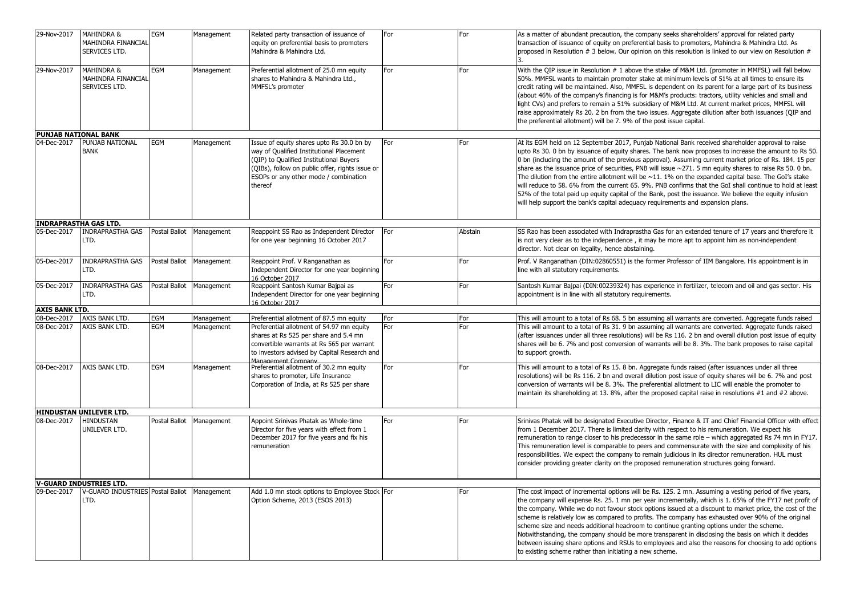| 29-Nov-2017                                | <b>MAHINDRA &amp;</b><br>MAHINDRA FINANCIAL<br>SERVICES LTD. | <b>EGM</b>    | Management | Related party transaction of issuance of<br>equity on preferential basis to promoters<br>Mahindra & Mahindra Ltd.                                                                                                                       | For | For     | As a matter of abundant precaution, the company seeks shareholders' approval for related party<br>transaction of issuance of equity on preferential basis to promoters, Mahindra & Mahindra Ltd. As<br>proposed in Resolution # 3 below. Our opinion on this resolution is linked to our view on Resolution #<br>3.                                                                                                                                                                                                                                                                                                                                                                                                                                                                                                                                       |
|--------------------------------------------|--------------------------------------------------------------|---------------|------------|-----------------------------------------------------------------------------------------------------------------------------------------------------------------------------------------------------------------------------------------|-----|---------|-----------------------------------------------------------------------------------------------------------------------------------------------------------------------------------------------------------------------------------------------------------------------------------------------------------------------------------------------------------------------------------------------------------------------------------------------------------------------------------------------------------------------------------------------------------------------------------------------------------------------------------------------------------------------------------------------------------------------------------------------------------------------------------------------------------------------------------------------------------|
| 29-Nov-2017                                | MAHINDRA &<br>MAHINDRA FINANCIAL<br>SERVICES LTD.            | <b>EGM</b>    | Management | Preferential allotment of 25.0 mn equity<br>shares to Mahindra & Mahindra Ltd.,<br>MMFSL's promoter                                                                                                                                     | For | For     | With the QIP issue in Resolution # 1 above the stake of M&M Ltd. (promoter in MMFSL) will fall below<br>50%. MMFSL wants to maintain promoter stake at minimum levels of 51% at all times to ensure its<br>credit rating will be maintained. Also, MMFSL is dependent on its parent for a large part of its business<br>(about 46% of the company's financing is for M&M's products: tractors, utility vehicles and small and<br>light CVs) and prefers to remain a 51% subsidiary of M&M Ltd. At current market prices, MMFSL will<br>raise approximately Rs 20. 2 bn from the two issues. Aggregate dilution after both issuances (QIP and<br>the preferential allotment) will be 7. 9% of the post issue capital.                                                                                                                                      |
| <b>PUNJAB NATIONAL BANK</b><br>04-Dec-2017 | PUNJAB NATIONAL<br><b>BANK</b>                               | EGM           | Management | Issue of equity shares upto Rs 30.0 bn by<br>way of Qualified Institutional Placement<br>(QIP) to Qualified Institutional Buyers<br>(QIBs), follow on public offer, rights issue or<br>ESOPs or any other mode / combination<br>thereof | For | For     | At its EGM held on 12 September 2017, Punjab National Bank received shareholder approval to raise<br>upto Rs 30. 0 bn by issuance of equity shares. The bank now proposes to increase the amount to Rs 50.<br>0 bn (including the amount of the previous approval). Assuming current market price of Rs. 184. 15 per<br>share as the issuance price of securities, PNB will issue $\sim$ 271. 5 mn equity shares to raise Rs 50. 0 bn.<br>The dilution from the entire allotment will be $~11.1\%$ on the expanded capital base. The GoI's stake<br>will reduce to 58. 6% from the current 65. 9%. PNB confirms that the GoI shall continue to hold at least<br>52% of the total paid up equity capital of the Bank, post the issuance. We believe the equity infusion<br>will help support the bank's capital adequacy requirements and expansion plans. |
| <b>INDRAPRASTHA GAS LTD.</b>               |                                                              |               |            |                                                                                                                                                                                                                                         |     |         |                                                                                                                                                                                                                                                                                                                                                                                                                                                                                                                                                                                                                                                                                                                                                                                                                                                           |
| 05-Dec-2017                                | <b>INDRAPRASTHA GAS</b><br>LTD.                              | Postal Ballot | Management | Reappoint SS Rao as Independent Director<br>for one year beginning 16 October 2017                                                                                                                                                      | For | Abstain | SS Rao has been associated with Indraprastha Gas for an extended tenure of 17 years and therefore it<br>is not very clear as to the independence, it may be more apt to appoint him as non-independent<br>director. Not clear on legality, hence abstaining.                                                                                                                                                                                                                                                                                                                                                                                                                                                                                                                                                                                              |
| 05-Dec-2017                                | <b>INDRAPRASTHA GAS</b><br>LTD.                              | Postal Ballot | Management | Reappoint Prof. V Ranganathan as<br>Independent Director for one year beginning<br>16 October 2017                                                                                                                                      | For | For     | Prof. V Ranganathan (DIN:02860551) is the former Professor of IIM Bangalore. His appointment is in<br>line with all statutory requirements.                                                                                                                                                                                                                                                                                                                                                                                                                                                                                                                                                                                                                                                                                                               |
| 05-Dec-2017                                | <b>INDRAPRASTHA GAS</b><br>LTD.                              | Postal Ballot | Management | Reappoint Santosh Kumar Bajpai as<br>Independent Director for one year beginning<br>16 October 2017                                                                                                                                     | For | For     | Santosh Kumar Bajpai (DIN:00239324) has experience in fertilizer, telecom and oil and gas sector. His<br>appointment is in line with all statutory requirements.                                                                                                                                                                                                                                                                                                                                                                                                                                                                                                                                                                                                                                                                                          |
| <b>AXIS BANK LTD.</b>                      |                                                              |               |            |                                                                                                                                                                                                                                         |     |         |                                                                                                                                                                                                                                                                                                                                                                                                                                                                                                                                                                                                                                                                                                                                                                                                                                                           |
| 08-Dec-2017                                | AXIS BANK LTD.                                               | EGM           | Management | Preferential allotment of 87.5 mn equity                                                                                                                                                                                                | For | For     | This will amount to a total of Rs 68. 5 bn assuming all warrants are converted. Aggregate funds raised                                                                                                                                                                                                                                                                                                                                                                                                                                                                                                                                                                                                                                                                                                                                                    |
| 08-Dec-2017                                | AXIS BANK LTD.                                               | EGM           | Management | Preferential allotment of 54.97 mn equity<br>shares at Rs 525 per share and 5.4 mn<br>convertible warrants at Rs 565 per warrant<br>to investors advised by Capital Research and<br>Management Company                                  | For | For     | This will amount to a total of Rs 31. 9 bn assuming all warrants are converted. Aggregate funds raised<br>(after issuances under all three resolutions) will be Rs 116. 2 bn and overall dilution post issue of equity<br>shares will be 6. 7% and post conversion of warrants will be 8. 3%. The bank proposes to raise capital<br>to support growth.                                                                                                                                                                                                                                                                                                                                                                                                                                                                                                    |
| 08-Dec-2017                                | AXIS BANK LTD.                                               | EGM           | Management | Preferential allotment of 30.2 mn equity<br>shares to promoter, Life Insurance<br>Corporation of India, at Rs 525 per share                                                                                                             | For | For     | This will amount to a total of Rs 15. 8 bn. Aggregate funds raised (after issuances under all three<br>resolutions) will be Rs 116. 2 bn and overall dilution post issue of equity shares will be 6. 7% and post<br>conversion of warrants will be 8. 3%. The preferential allotment to LIC will enable the promoter to<br>maintain its shareholding at 13. 8%, after the proposed capital raise in resolutions #1 and #2 above.                                                                                                                                                                                                                                                                                                                                                                                                                          |
|                                            | <b>HINDUSTAN UNILEVER LTD.</b>                               |               |            |                                                                                                                                                                                                                                         |     |         |                                                                                                                                                                                                                                                                                                                                                                                                                                                                                                                                                                                                                                                                                                                                                                                                                                                           |
| 08-Dec-2017                                | HINDUSTAN<br>UNILEVER LTD.                                   | Postal Ballot | Management | Appoint Srinivas Phatak as Whole-time<br>Director for five years with effect from 1<br>December 2017 for five years and fix his<br>remuneration                                                                                         | For | For     | Srinivas Phatak will be designated Executive Director, Finance & IT and Chief Financial Officer with effect<br>from 1 December 2017. There is limited clarity with respect to his remuneration. We expect his<br>remuneration to range closer to his predecessor in the same role - which aggregated Rs 74 mn in FY17.<br>This remuneration level is comparable to peers and commensurate with the size and complexity of his<br>responsibilities. We expect the company to remain judicious in its director remuneration. HUL must<br>consider providing greater clarity on the proposed remuneration structures going forward.                                                                                                                                                                                                                          |
|                                            | <b>V-GUARD INDUSTRIES LTD.</b>                               |               |            |                                                                                                                                                                                                                                         |     |         |                                                                                                                                                                                                                                                                                                                                                                                                                                                                                                                                                                                                                                                                                                                                                                                                                                                           |
| 09-Dec-2017                                | V-GUARD INDUSTRIES Postal Ballot<br>LTD.                     |               | Management | Add 1.0 mn stock options to Employee Stock For<br>Option Scheme, 2013 (ESOS 2013)                                                                                                                                                       |     | For     | The cost impact of incremental options will be Rs. 125. 2 mn. Assuming a vesting period of five years,<br>the company will expense Rs. 25. 1 mn per year incrementally, which is 1. 65% of the FY17 net profit of<br>the company. While we do not favour stock options issued at a discount to market price, the cost of the<br>scheme is relatively low as compared to profits. The company has exhausted over 90% of the original<br>scheme size and needs additional headroom to continue granting options under the scheme.<br>Notwithstanding, the company should be more transparent in disclosing the basis on which it decides<br>between issuing share options and RSUs to employees and also the reasons for choosing to add options<br>to existing scheme rather than initiating a new scheme.                                                 |